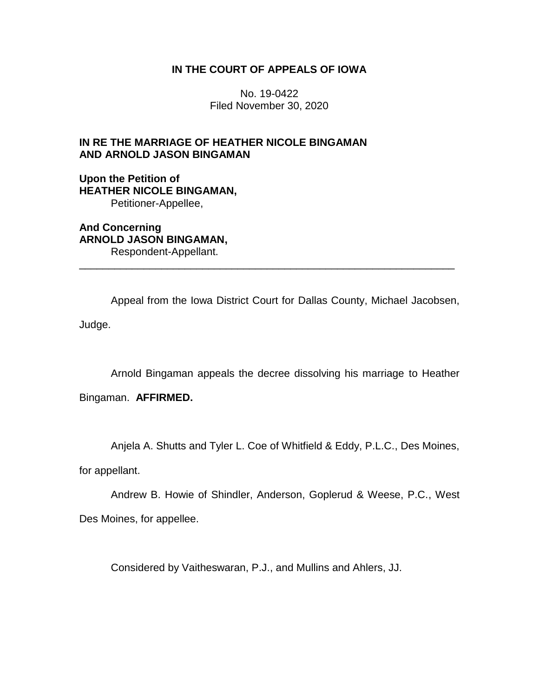# **IN THE COURT OF APPEALS OF IOWA**

No. 19-0422 Filed November 30, 2020

# **IN RE THE MARRIAGE OF HEATHER NICOLE BINGAMAN AND ARNOLD JASON BINGAMAN**

**Upon the Petition of HEATHER NICOLE BINGAMAN,** Petitioner-Appellee,

**And Concerning ARNOLD JASON BINGAMAN,** Respondent-Appellant.

Appeal from the Iowa District Court for Dallas County, Michael Jacobsen, Judge.

\_\_\_\_\_\_\_\_\_\_\_\_\_\_\_\_\_\_\_\_\_\_\_\_\_\_\_\_\_\_\_\_\_\_\_\_\_\_\_\_\_\_\_\_\_\_\_\_\_\_\_\_\_\_\_\_\_\_\_\_\_\_\_\_

Arnold Bingaman appeals the decree dissolving his marriage to Heather

Bingaman. **AFFIRMED.**

Anjela A. Shutts and Tyler L. Coe of Whitfield & Eddy, P.L.C., Des Moines,

for appellant.

Andrew B. Howie of Shindler, Anderson, Goplerud & Weese, P.C., West Des Moines, for appellee.

Considered by Vaitheswaran, P.J., and Mullins and Ahlers, JJ.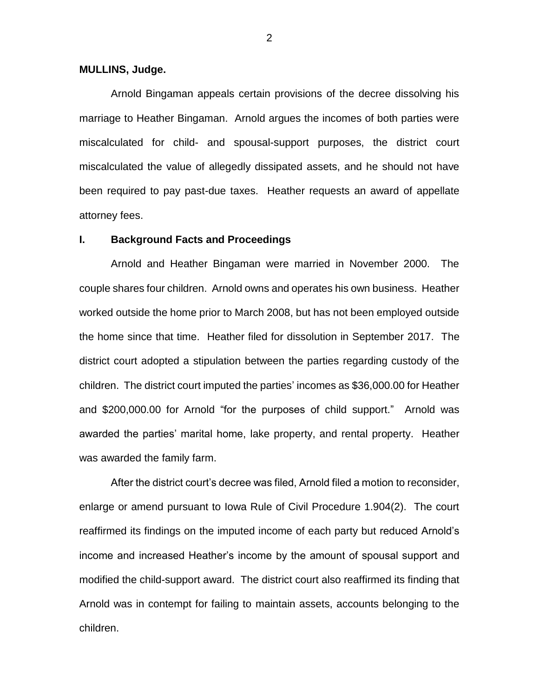#### **MULLINS, Judge.**

Arnold Bingaman appeals certain provisions of the decree dissolving his marriage to Heather Bingaman. Arnold argues the incomes of both parties were miscalculated for child- and spousal-support purposes, the district court miscalculated the value of allegedly dissipated assets, and he should not have been required to pay past-due taxes. Heather requests an award of appellate attorney fees.

### **I. Background Facts and Proceedings**

Arnold and Heather Bingaman were married in November 2000. The couple shares four children. Arnold owns and operates his own business. Heather worked outside the home prior to March 2008, but has not been employed outside the home since that time. Heather filed for dissolution in September 2017. The district court adopted a stipulation between the parties regarding custody of the children. The district court imputed the parties' incomes as \$36,000.00 for Heather and \$200,000.00 for Arnold "for the purposes of child support." Arnold was awarded the parties' marital home, lake property, and rental property. Heather was awarded the family farm.

After the district court's decree was filed, Arnold filed a motion to reconsider, enlarge or amend pursuant to Iowa Rule of Civil Procedure 1.904(2). The court reaffirmed its findings on the imputed income of each party but reduced Arnold's income and increased Heather's income by the amount of spousal support and modified the child-support award. The district court also reaffirmed its finding that Arnold was in contempt for failing to maintain assets, accounts belonging to the children.

2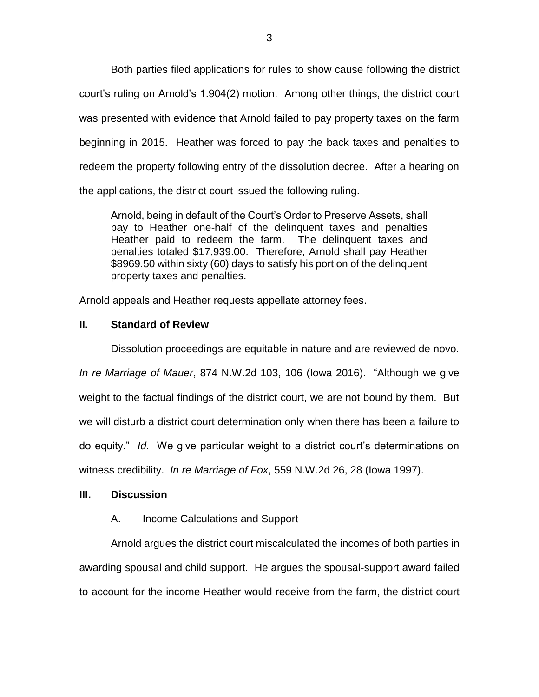Both parties filed applications for rules to show cause following the district court's ruling on Arnold's 1.904(2) motion. Among other things, the district court was presented with evidence that Arnold failed to pay property taxes on the farm beginning in 2015. Heather was forced to pay the back taxes and penalties to redeem the property following entry of the dissolution decree. After a hearing on the applications, the district court issued the following ruling.

Arnold, being in default of the Court's Order to Preserve Assets, shall pay to Heather one-half of the delinquent taxes and penalties Heather paid to redeem the farm. The delinquent taxes and penalties totaled \$17,939.00. Therefore, Arnold shall pay Heather \$8969.50 within sixty (60) days to satisfy his portion of the delinquent property taxes and penalties.

Arnold appeals and Heather requests appellate attorney fees.

## **II. Standard of Review**

Dissolution proceedings are equitable in nature and are reviewed de novo. *In re Marriage of Mauer*, 874 N.W.2d 103, 106 (Iowa 2016). "Although we give weight to the factual findings of the district court, we are not bound by them. But we will disturb a district court determination only when there has been a failure to do equity." *Id.* We give particular weight to a district court's determinations on witness credibility. *In re Marriage of Fox*, 559 N.W.2d 26, 28 (Iowa 1997).

### **III. Discussion**

## A. Income Calculations and Support

Arnold argues the district court miscalculated the incomes of both parties in awarding spousal and child support. He argues the spousal-support award failed to account for the income Heather would receive from the farm, the district court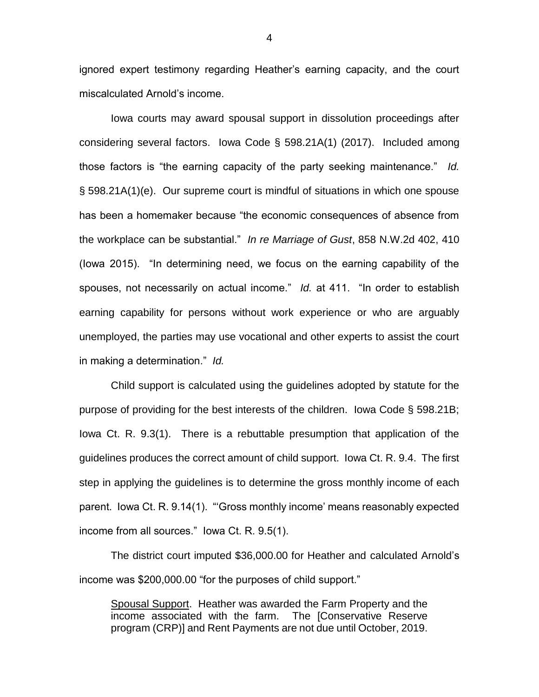ignored expert testimony regarding Heather's earning capacity, and the court miscalculated Arnold's income.

Iowa courts may award spousal support in dissolution proceedings after considering several factors. Iowa Code § 598.21A(1) (2017). Included among those factors is "the earning capacity of the party seeking maintenance." *Id.* § 598.21A(1)(e). Our supreme court is mindful of situations in which one spouse has been a homemaker because "the economic consequences of absence from the workplace can be substantial." *In re Marriage of Gust*, 858 N.W.2d 402, 410 (Iowa 2015). "In determining need, we focus on the earning capability of the spouses, not necessarily on actual income." *Id.* at 411. "In order to establish earning capability for persons without work experience or who are arguably unemployed, the parties may use vocational and other experts to assist the court in making a determination." *Id.*

Child support is calculated using the guidelines adopted by statute for the purpose of providing for the best interests of the children. Iowa Code § 598.21B; Iowa Ct. R. 9.3(1). There is a rebuttable presumption that application of the guidelines produces the correct amount of child support. Iowa Ct. R. 9.4. The first step in applying the guidelines is to determine the gross monthly income of each parent. Iowa Ct. R. 9.14(1). "'Gross monthly income' means reasonably expected income from all sources." Iowa Ct. R. 9.5(1).

The district court imputed \$36,000.00 for Heather and calculated Arnold's income was \$200,000.00 "for the purposes of child support."

Spousal Support. Heather was awarded the Farm Property and the income associated with the farm. The [Conservative Reserve program (CRP)] and Rent Payments are not due until October, 2019.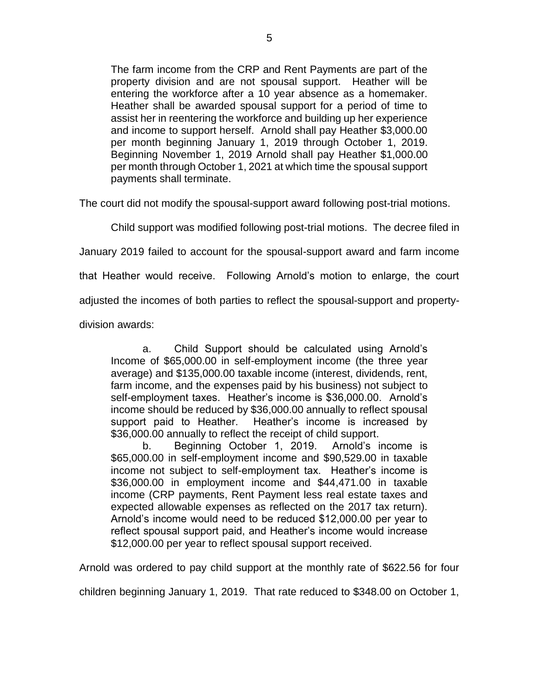The farm income from the CRP and Rent Payments are part of the property division and are not spousal support. Heather will be entering the workforce after a 10 year absence as a homemaker. Heather shall be awarded spousal support for a period of time to assist her in reentering the workforce and building up her experience and income to support herself. Arnold shall pay Heather \$3,000.00 per month beginning January 1, 2019 through October 1, 2019. Beginning November 1, 2019 Arnold shall pay Heather \$1,000.00 per month through October 1, 2021 at which time the spousal support payments shall terminate.

The court did not modify the spousal-support award following post-trial motions.

Child support was modified following post-trial motions. The decree filed in

January 2019 failed to account for the spousal-support award and farm income

that Heather would receive. Following Arnold's motion to enlarge, the court

adjusted the incomes of both parties to reflect the spousal-support and property-

division awards:

a. Child Support should be calculated using Arnold's Income of \$65,000.00 in self-employment income (the three year average) and \$135,000.00 taxable income (interest, dividends, rent, farm income, and the expenses paid by his business) not subject to self-employment taxes. Heather's income is \$36,000.00. Arnold's income should be reduced by \$36,000.00 annually to reflect spousal support paid to Heather. Heather's income is increased by \$36,000.00 annually to reflect the receipt of child support.

b. Beginning October 1, 2019. Arnold's income is \$65,000.00 in self-employment income and \$90,529.00 in taxable income not subject to self-employment tax. Heather's income is \$36,000.00 in employment income and \$44,471.00 in taxable income (CRP payments, Rent Payment less real estate taxes and expected allowable expenses as reflected on the 2017 tax return). Arnold's income would need to be reduced \$12,000.00 per year to reflect spousal support paid, and Heather's income would increase \$12,000.00 per year to reflect spousal support received.

Arnold was ordered to pay child support at the monthly rate of \$622.56 for four

children beginning January 1, 2019. That rate reduced to \$348.00 on October 1,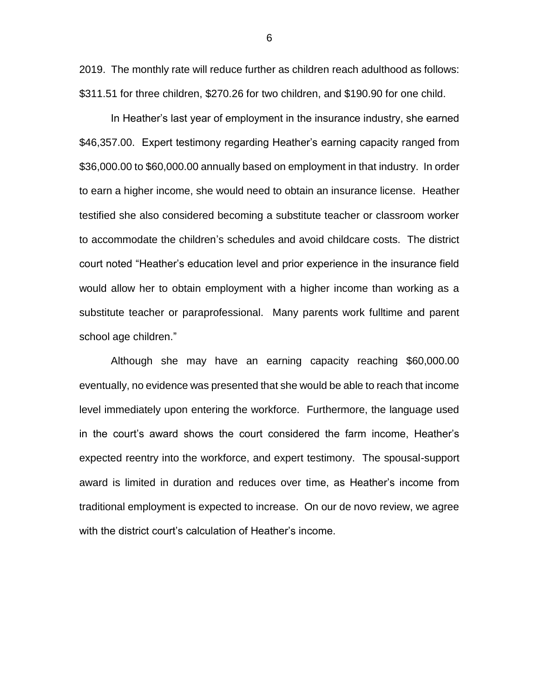2019. The monthly rate will reduce further as children reach adulthood as follows: \$311.51 for three children, \$270.26 for two children, and \$190.90 for one child.

In Heather's last year of employment in the insurance industry, she earned \$46,357.00. Expert testimony regarding Heather's earning capacity ranged from \$36,000.00 to \$60,000.00 annually based on employment in that industry. In order to earn a higher income, she would need to obtain an insurance license. Heather testified she also considered becoming a substitute teacher or classroom worker to accommodate the children's schedules and avoid childcare costs. The district court noted "Heather's education level and prior experience in the insurance field would allow her to obtain employment with a higher income than working as a substitute teacher or paraprofessional. Many parents work fulltime and parent school age children."

Although she may have an earning capacity reaching \$60,000.00 eventually, no evidence was presented that she would be able to reach that income level immediately upon entering the workforce. Furthermore, the language used in the court's award shows the court considered the farm income, Heather's expected reentry into the workforce, and expert testimony. The spousal-support award is limited in duration and reduces over time, as Heather's income from traditional employment is expected to increase. On our de novo review, we agree with the district court's calculation of Heather's income.

6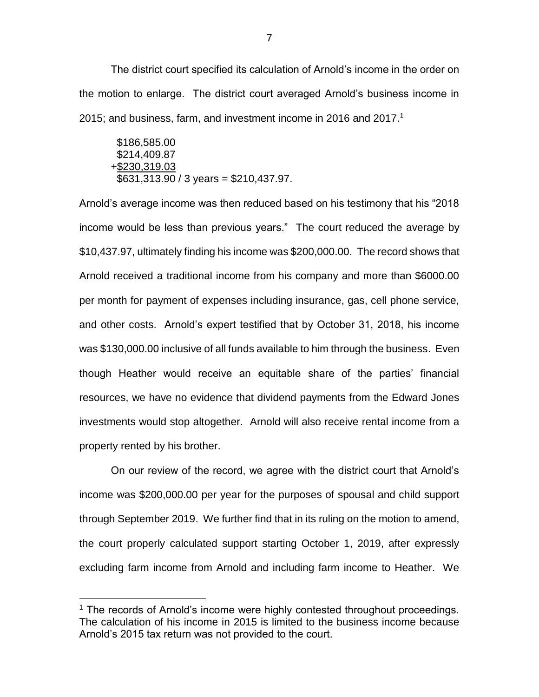The district court specified its calculation of Arnold's income in the order on the motion to enlarge. The district court averaged Arnold's business income in 2015; and business, farm, and investment income in 2016 and 2017. 1

$$
$186,585.00
$$
  
\$214,409.87  
+\$230,319.03  
\$631,313.90 / 3 years = \$210,437.97.

Arnold's average income was then reduced based on his testimony that his "2018 income would be less than previous years." The court reduced the average by \$10,437.97, ultimately finding his income was \$200,000.00. The record shows that Arnold received a traditional income from his company and more than \$6000.00 per month for payment of expenses including insurance, gas, cell phone service, and other costs. Arnold's expert testified that by October 31, 2018, his income was \$130,000.00 inclusive of all funds available to him through the business. Even though Heather would receive an equitable share of the parties' financial resources, we have no evidence that dividend payments from the Edward Jones investments would stop altogether. Arnold will also receive rental income from a property rented by his brother.

On our review of the record, we agree with the district court that Arnold's income was \$200,000.00 per year for the purposes of spousal and child support through September 2019. We further find that in its ruling on the motion to amend, the court properly calculated support starting October 1, 2019, after expressly excluding farm income from Arnold and including farm income to Heather. We

 $\overline{a}$ 

 $1$  The records of Arnold's income were highly contested throughout proceedings. The calculation of his income in 2015 is limited to the business income because Arnold's 2015 tax return was not provided to the court.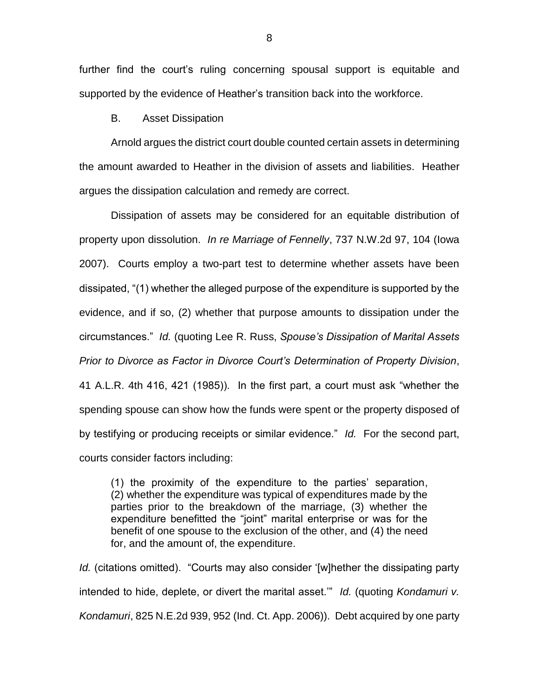further find the court's ruling concerning spousal support is equitable and supported by the evidence of Heather's transition back into the workforce.

B. Asset Dissipation

Arnold argues the district court double counted certain assets in determining the amount awarded to Heather in the division of assets and liabilities. Heather argues the dissipation calculation and remedy are correct.

Dissipation of assets may be considered for an equitable distribution of property upon dissolution. *In re Marriage of Fennelly*, 737 N.W.2d 97, 104 (Iowa 2007). Courts employ a two-part test to determine whether assets have been dissipated, "(1) whether the alleged purpose of the expenditure is supported by the evidence, and if so, (2) whether that purpose amounts to dissipation under the circumstances." *Id.* (quoting Lee R. Russ, *Spouse's Dissipation of Marital Assets Prior to Divorce as Factor in Divorce Court's Determination of Property Division*, 41 A.L.R. 4th 416, 421 (1985)). In the first part, a court must ask "whether the spending spouse can show how the funds were spent or the property disposed of by testifying or producing receipts or similar evidence." *Id.* For the second part, courts consider factors including:

(1) the proximity of the expenditure to the parties' separation, (2) whether the expenditure was typical of expenditures made by the parties prior to the breakdown of the marriage, (3) whether the expenditure benefitted the "joint" marital enterprise or was for the benefit of one spouse to the exclusion of the other, and (4) the need for, and the amount of, the expenditure.

*Id.* (citations omitted). "Courts may also consider '[w]hether the dissipating party intended to hide, deplete, or divert the marital asset.'" *Id.* (quoting *Kondamuri v. Kondamuri*, 825 N.E.2d 939, 952 (Ind. Ct. App. 2006)). Debt acquired by one party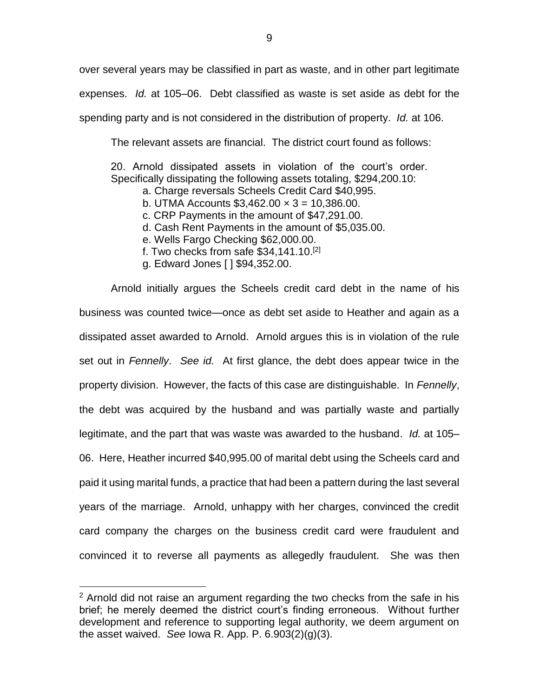over several years may be classified in part as waste, and in other part legitimate expenses. *Id.* at 105–06. Debt classified as waste is set aside as debt for the spending party and is not considered in the distribution of property. *Id.* at 106.

The relevant assets are financial. The district court found as follows:

20. Arnold dissipated assets in violation of the court's order. Specifically dissipating the following assets totaling, \$294,200.10:

- a. Charge reversals Scheels Credit Card \$40,995.
- b. UTMA Accounts  $$3,462.00 \times 3 = 10,386.00$ .
- c. CRP Payments in the amount of \$47,291.00.
- d. Cash Rent Payments in the amount of \$5,035.00.
- e. Wells Fargo Checking \$62,000.00.
- f. Two checks from safe  $$34,141.10<sup>[2]</sup>$
- g. Edward Jones [ ] \$94,352.00.

Arnold initially argues the Scheels credit card debt in the name of his business was counted twice—once as debt set aside to Heather and again as a dissipated asset awarded to Arnold. Arnold argues this is in violation of the rule set out in *Fennelly*. *See id.* At first glance, the debt does appear twice in the property division. However, the facts of this case are distinguishable. In *Fennelly*, the debt was acquired by the husband and was partially waste and partially legitimate, and the part that was waste was awarded to the husband. *Id.* at 105– 06. Here, Heather incurred \$40,995.00 of marital debt using the Scheels card and paid it using marital funds, a practice that had been a pattern during the last several years of the marriage. Arnold, unhappy with her charges, convinced the credit card company the charges on the business credit card were fraudulent and convinced it to reverse all payments as allegedly fraudulent. She was then

 $\overline{a}$ 

 $2$  Arnold did not raise an argument regarding the two checks from the safe in his brief; he merely deemed the district court's finding erroneous. Without further development and reference to supporting legal authority, we deem argument on the asset waived. *See* Iowa R. App. P. 6.903(2)(g)(3).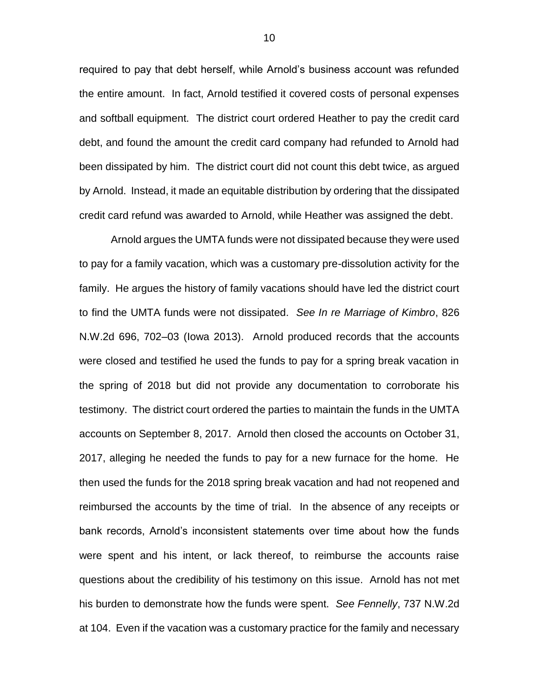required to pay that debt herself, while Arnold's business account was refunded the entire amount. In fact, Arnold testified it covered costs of personal expenses and softball equipment. The district court ordered Heather to pay the credit card debt, and found the amount the credit card company had refunded to Arnold had been dissipated by him. The district court did not count this debt twice, as argued by Arnold. Instead, it made an equitable distribution by ordering that the dissipated credit card refund was awarded to Arnold, while Heather was assigned the debt.

Arnold argues the UMTA funds were not dissipated because they were used to pay for a family vacation, which was a customary pre-dissolution activity for the family. He argues the history of family vacations should have led the district court to find the UMTA funds were not dissipated. *See In re Marriage of Kimbro*, 826 N.W.2d 696, 702–03 (Iowa 2013). Arnold produced records that the accounts were closed and testified he used the funds to pay for a spring break vacation in the spring of 2018 but did not provide any documentation to corroborate his testimony. The district court ordered the parties to maintain the funds in the UMTA accounts on September 8, 2017. Arnold then closed the accounts on October 31, 2017, alleging he needed the funds to pay for a new furnace for the home. He then used the funds for the 2018 spring break vacation and had not reopened and reimbursed the accounts by the time of trial. In the absence of any receipts or bank records, Arnold's inconsistent statements over time about how the funds were spent and his intent, or lack thereof, to reimburse the accounts raise questions about the credibility of his testimony on this issue. Arnold has not met his burden to demonstrate how the funds were spent. *See Fennelly*, 737 N.W.2d at 104. Even if the vacation was a customary practice for the family and necessary

10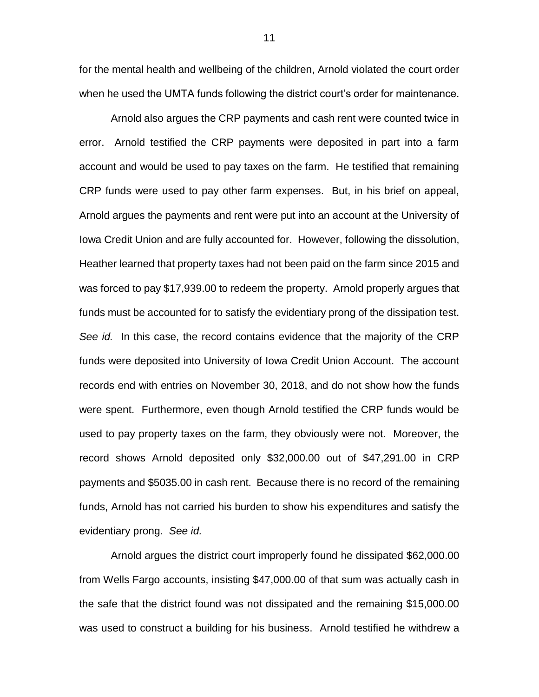for the mental health and wellbeing of the children, Arnold violated the court order when he used the UMTA funds following the district court's order for maintenance.

Arnold also argues the CRP payments and cash rent were counted twice in error. Arnold testified the CRP payments were deposited in part into a farm account and would be used to pay taxes on the farm. He testified that remaining CRP funds were used to pay other farm expenses. But, in his brief on appeal, Arnold argues the payments and rent were put into an account at the University of Iowa Credit Union and are fully accounted for. However, following the dissolution, Heather learned that property taxes had not been paid on the farm since 2015 and was forced to pay \$17,939.00 to redeem the property. Arnold properly argues that funds must be accounted for to satisfy the evidentiary prong of the dissipation test. *See id.* In this case, the record contains evidence that the majority of the CRP funds were deposited into University of Iowa Credit Union Account. The account records end with entries on November 30, 2018, and do not show how the funds were spent. Furthermore, even though Arnold testified the CRP funds would be used to pay property taxes on the farm, they obviously were not. Moreover, the record shows Arnold deposited only \$32,000.00 out of \$47,291.00 in CRP payments and \$5035.00 in cash rent. Because there is no record of the remaining funds, Arnold has not carried his burden to show his expenditures and satisfy the evidentiary prong. *See id.*

Arnold argues the district court improperly found he dissipated \$62,000.00 from Wells Fargo accounts, insisting \$47,000.00 of that sum was actually cash in the safe that the district found was not dissipated and the remaining \$15,000.00 was used to construct a building for his business. Arnold testified he withdrew a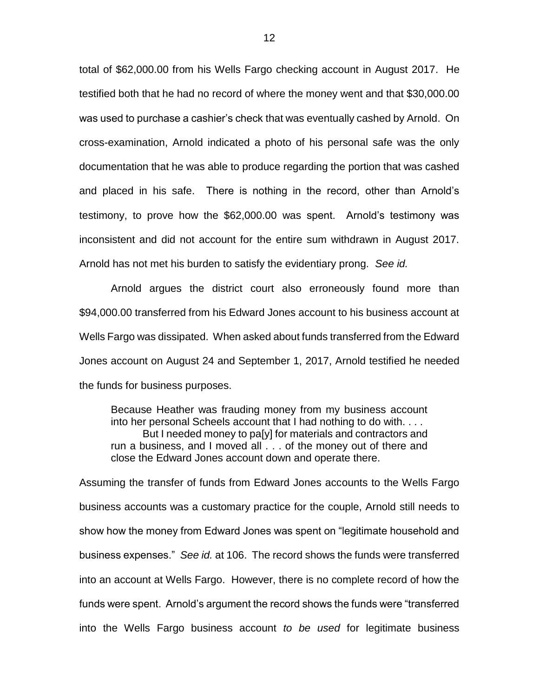total of \$62,000.00 from his Wells Fargo checking account in August 2017. He testified both that he had no record of where the money went and that \$30,000.00 was used to purchase a cashier's check that was eventually cashed by Arnold. On cross-examination, Arnold indicated a photo of his personal safe was the only documentation that he was able to produce regarding the portion that was cashed and placed in his safe. There is nothing in the record, other than Arnold's testimony, to prove how the \$62,000.00 was spent. Arnold's testimony was inconsistent and did not account for the entire sum withdrawn in August 2017. Arnold has not met his burden to satisfy the evidentiary prong. *See id.*

Arnold argues the district court also erroneously found more than \$94,000.00 transferred from his Edward Jones account to his business account at Wells Fargo was dissipated. When asked about funds transferred from the Edward Jones account on August 24 and September 1, 2017, Arnold testified he needed the funds for business purposes.

Because Heather was frauding money from my business account into her personal Scheels account that I had nothing to do with. . . . But I needed money to pa[y] for materials and contractors and run a business, and I moved all . . . of the money out of there and close the Edward Jones account down and operate there.

Assuming the transfer of funds from Edward Jones accounts to the Wells Fargo business accounts was a customary practice for the couple, Arnold still needs to show how the money from Edward Jones was spent on "legitimate household and business expenses." *See id.* at 106. The record shows the funds were transferred into an account at Wells Fargo. However, there is no complete record of how the funds were spent. Arnold's argument the record shows the funds were "transferred into the Wells Fargo business account *to be used* for legitimate business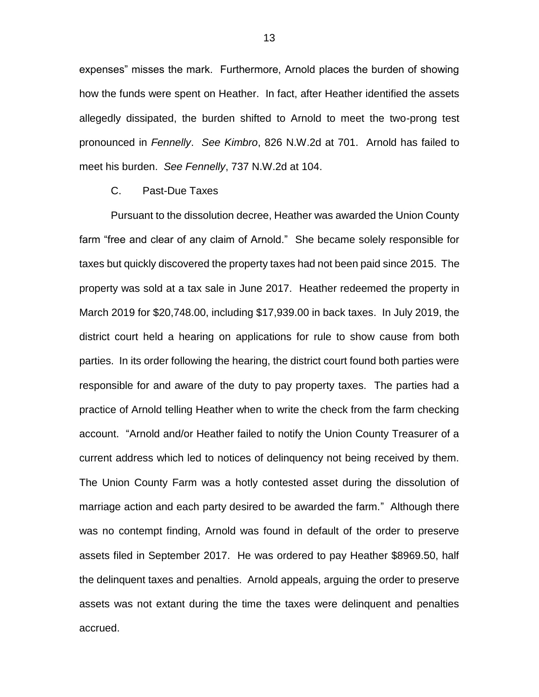expenses" misses the mark. Furthermore, Arnold places the burden of showing how the funds were spent on Heather. In fact, after Heather identified the assets allegedly dissipated, the burden shifted to Arnold to meet the two-prong test pronounced in *Fennelly*. *See Kimbro*, 826 N.W.2d at 701. Arnold has failed to meet his burden. *See Fennelly*, 737 N.W.2d at 104.

## C. Past-Due Taxes

Pursuant to the dissolution decree, Heather was awarded the Union County farm "free and clear of any claim of Arnold." She became solely responsible for taxes but quickly discovered the property taxes had not been paid since 2015. The property was sold at a tax sale in June 2017. Heather redeemed the property in March 2019 for \$20,748.00, including \$17,939.00 in back taxes. In July 2019, the district court held a hearing on applications for rule to show cause from both parties. In its order following the hearing, the district court found both parties were responsible for and aware of the duty to pay property taxes. The parties had a practice of Arnold telling Heather when to write the check from the farm checking account. "Arnold and/or Heather failed to notify the Union County Treasurer of a current address which led to notices of delinquency not being received by them. The Union County Farm was a hotly contested asset during the dissolution of marriage action and each party desired to be awarded the farm." Although there was no contempt finding, Arnold was found in default of the order to preserve assets filed in September 2017. He was ordered to pay Heather \$8969.50, half the delinquent taxes and penalties. Arnold appeals, arguing the order to preserve assets was not extant during the time the taxes were delinquent and penalties accrued.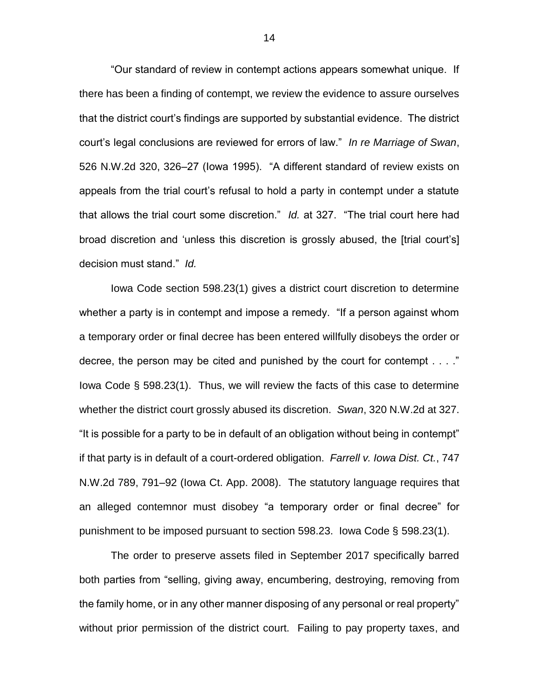"Our standard of review in contempt actions appears somewhat unique. If there has been a finding of contempt, we review the evidence to assure ourselves that the district court's findings are supported by substantial evidence. The district court's legal conclusions are reviewed for errors of law." *In re Marriage of Swan*, 526 N.W.2d 320, 326–27 (Iowa 1995). "A different standard of review exists on appeals from the trial court's refusal to hold a party in contempt under a statute that allows the trial court some discretion." *Id.* at 327. "The trial court here had broad discretion and 'unless this discretion is grossly abused, the [trial court's] decision must stand." *Id.*

Iowa Code section 598.23(1) gives a district court discretion to determine whether a party is in contempt and impose a remedy. "If a person against whom a temporary order or final decree has been entered willfully disobeys the order or decree, the person may be cited and punished by the court for contempt . . . ." Iowa Code § 598.23(1). Thus, we will review the facts of this case to determine whether the district court grossly abused its discretion. *Swan*, 320 N.W.2d at 327. "It is possible for a party to be in default of an obligation without being in contempt" if that party is in default of a court-ordered obligation. *Farrell v. Iowa Dist. Ct.*, 747 N.W.2d 789, 791–92 (Iowa Ct. App. 2008). The statutory language requires that an alleged contemnor must disobey "a temporary order or final decree" for punishment to be imposed pursuant to section 598.23. Iowa Code § 598.23(1).

The order to preserve assets filed in September 2017 specifically barred both parties from "selling, giving away, encumbering, destroying, removing from the family home, or in any other manner disposing of any personal or real property" without prior permission of the district court. Failing to pay property taxes, and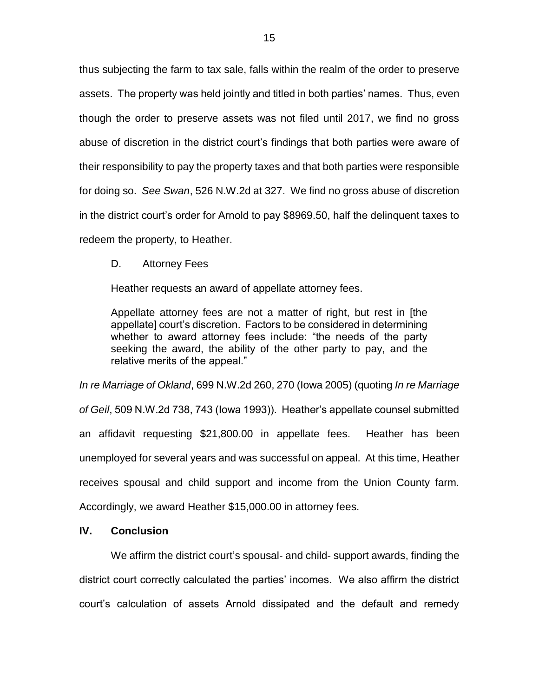thus subjecting the farm to tax sale, falls within the realm of the order to preserve assets. The property was held jointly and titled in both parties' names. Thus, even though the order to preserve assets was not filed until 2017, we find no gross abuse of discretion in the district court's findings that both parties were aware of their responsibility to pay the property taxes and that both parties were responsible for doing so. *See Swan*, 526 N.W.2d at 327. We find no gross abuse of discretion in the district court's order for Arnold to pay \$8969.50, half the delinquent taxes to redeem the property, to Heather.

D. Attorney Fees

Heather requests an award of appellate attorney fees.

Appellate attorney fees are not a matter of right, but rest in [the appellate] court's discretion. Factors to be considered in determining whether to award attorney fees include: "the needs of the party seeking the award, the ability of the other party to pay, and the relative merits of the appeal."

*In re Marriage of Okland*, 699 N.W.2d 260, 270 (Iowa 2005) (quoting *In re Marriage of Geil*, 509 N.W.2d 738, 743 (Iowa 1993)). Heather's appellate counsel submitted an affidavit requesting \$21,800.00 in appellate fees. Heather has been unemployed for several years and was successful on appeal. At this time, Heather receives spousal and child support and income from the Union County farm. Accordingly, we award Heather \$15,000.00 in attorney fees.

## **IV. Conclusion**

We affirm the district court's spousal- and child- support awards, finding the district court correctly calculated the parties' incomes. We also affirm the district court's calculation of assets Arnold dissipated and the default and remedy